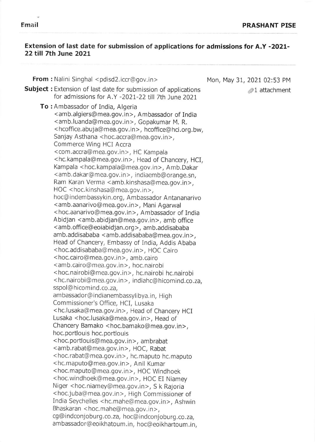$\alpha^{\prime}$ 

## Extension of last date for submission of applications for admissions for A.Y -2021- 22 till 7th June 2021

| From : Nalini Singhal <pdisd2.iccr@gov.in></pdisd2.iccr@gov.in>                                                                                                                                                                                                                                                                                                                                                                                                                                                                                                                                                                                                                                                                                                                                                                                                                                                                                                                                                                                                                                                                                                                                                                                                                                                                                                                                                                                                                                                                                                                                                                                                                                                                                                                                                                                                                                                                                                                                                                                                                                                                                                                                                                                                                                                                                                                                                                              | Mon, May 31, 2021 02:53 PM |
|----------------------------------------------------------------------------------------------------------------------------------------------------------------------------------------------------------------------------------------------------------------------------------------------------------------------------------------------------------------------------------------------------------------------------------------------------------------------------------------------------------------------------------------------------------------------------------------------------------------------------------------------------------------------------------------------------------------------------------------------------------------------------------------------------------------------------------------------------------------------------------------------------------------------------------------------------------------------------------------------------------------------------------------------------------------------------------------------------------------------------------------------------------------------------------------------------------------------------------------------------------------------------------------------------------------------------------------------------------------------------------------------------------------------------------------------------------------------------------------------------------------------------------------------------------------------------------------------------------------------------------------------------------------------------------------------------------------------------------------------------------------------------------------------------------------------------------------------------------------------------------------------------------------------------------------------------------------------------------------------------------------------------------------------------------------------------------------------------------------------------------------------------------------------------------------------------------------------------------------------------------------------------------------------------------------------------------------------------------------------------------------------------------------------------------------------|----------------------------|
| <b>Subject:</b> Extension of last date for submission of applications<br>for admissions for A.Y -2021-22 till 7th June 2021                                                                                                                                                                                                                                                                                                                                                                                                                                                                                                                                                                                                                                                                                                                                                                                                                                                                                                                                                                                                                                                                                                                                                                                                                                                                                                                                                                                                                                                                                                                                                                                                                                                                                                                                                                                                                                                                                                                                                                                                                                                                                                                                                                                                                                                                                                                  | $\mathcal{D}1$ attachment  |
| <b>To:</b> Ambassador of India, Algeria<br><amb.algiers@mea.gov.in>, Ambassador of India<br/><amb.luanda@mea.gov.in>, Gopakumar M. R.<br/><hcoffice.abuja@mea.gov.in>, hcoffice@hci.org.bw,<br/>Sanjay Asthana <hoc.accra@mea.gov.in>,<br/>Commerce Wing HCI Accra<br/><com.accra@mea.gov.in>, HC Kampala<br/><hc.kampala@mea.gov.in>, Head of Chancery, HCI,<br/>Kampala <hoc.kampala@mea.gov.in>, Amb.Dakar<br/><amb.dakar@mea.gov.in>, indiaemb@orange.sn,<br/>Ram Karan Verma <amb.kinshasa@mea.gov.in>,<br/>HOC <hoc.kinshasa@mea.gov.in>,<br/>hoc@indembassykin.org, Ambassador Antananarivo<br/><amb.aanarivo@mea.gov.in>, Mani Agarwal<br/><hoc.aanarivo@mea.gov.in>, Ambassador of India<br/>Abidjan <amb.abidjan@mea.gov.in>, amb office<br/><amb.office@eoiabidjan.org>, amb.addisababa<br/>amb.addisababa <amb.addisababa@mea.gov.in>,<br/>Head of Chancery, Embassy of India, Addis Ababa<br/><hoc.addisababa@mea.gov.in>, HOC Cairo<br/><hoc.cairo@mea.gov.in>, amb.cairo<br/><amb.cairo@mea.gov.in>, hoc.nairobi<br/><hoc.nairobi@mea.gov.in>, hc.nairobi hc.nairobi<br/><hc.nairobi@mea.gov.in>, indiahc@hicomind.co.za,<br/>sspol@hicomind.co.za,<br/>ambassador@indianembassylibya.in, High<br/>Commissioner's Office, HCI, Lusaka<br/><hc.lusaka@mea.gov.in>, Head of Chancery HCI<br/>Lusaka <hoc.lusaka@mea.gov.in>, Head of<br/>Chancery Bamako <hoc.bamako@mea.gov.in>,<br/>hoc.portlouis hoc.portlouis<br/><hoc.portlouis@mea.gov.in>, ambrabat<br/><amb.rabat@mea.gov.in>, HOC, Rabat<br/><hoc.rabat@mea.gov.in>, hc.maputo hc.maputo<br/><hc.maputo@mea.gov.in>, Anil Kumar<br/><hoc.maputo@mea.gov.in>, HOC Windhoek<br/><hoc.windhoek@mea.gov.in>, HOC EI Niamey</hoc.windhoek@mea.gov.in></hoc.maputo@mea.gov.in></hc.maputo@mea.gov.in></hoc.rabat@mea.gov.in></amb.rabat@mea.gov.in></hoc.portlouis@mea.gov.in></hoc.bamako@mea.gov.in></hoc.lusaka@mea.gov.in></hc.lusaka@mea.gov.in></hc.nairobi@mea.gov.in></hoc.nairobi@mea.gov.in></amb.cairo@mea.gov.in></hoc.cairo@mea.gov.in></hoc.addisababa@mea.gov.in></amb.addisababa@mea.gov.in></amb.office@eoiabidjan.org></amb.abidjan@mea.gov.in></hoc.aanarivo@mea.gov.in></amb.aanarivo@mea.gov.in></hoc.kinshasa@mea.gov.in></amb.kinshasa@mea.gov.in></amb.dakar@mea.gov.in></hoc.kampala@mea.gov.in></hc.kampala@mea.gov.in></com.accra@mea.gov.in></hoc.accra@mea.gov.in></hcoffice.abuja@mea.gov.in></amb.luanda@mea.gov.in></amb.algiers@mea.gov.in> |                            |
| Niger <hoc.niamey@mea.gov.in>, S k Rajoria<br/><hoc.juba@mea.gov.in>, High Commissioner of</hoc.juba@mea.gov.in></hoc.niamey@mea.gov.in>                                                                                                                                                                                                                                                                                                                                                                                                                                                                                                                                                                                                                                                                                                                                                                                                                                                                                                                                                                                                                                                                                                                                                                                                                                                                                                                                                                                                                                                                                                                                                                                                                                                                                                                                                                                                                                                                                                                                                                                                                                                                                                                                                                                                                                                                                                     |                            |
| India Seychelles <hc.mahe@mea.gov.in>, Ashwin<br/>Bhaskaran <hoc.mahe@mea.gov.in>,<br/>cg@indconjoburg.co.za, hoc@indconjoburg.co.za,</hoc.mahe@mea.gov.in></hc.mahe@mea.gov.in>                                                                                                                                                                                                                                                                                                                                                                                                                                                                                                                                                                                                                                                                                                                                                                                                                                                                                                                                                                                                                                                                                                                                                                                                                                                                                                                                                                                                                                                                                                                                                                                                                                                                                                                                                                                                                                                                                                                                                                                                                                                                                                                                                                                                                                                             |                            |
| ambassador@eoikhatoum.in, hoc@eoikhartoum.in,                                                                                                                                                                                                                                                                                                                                                                                                                                                                                                                                                                                                                                                                                                                                                                                                                                                                                                                                                                                                                                                                                                                                                                                                                                                                                                                                                                                                                                                                                                                                                                                                                                                                                                                                                                                                                                                                                                                                                                                                                                                                                                                                                                                                                                                                                                                                                                                                |                            |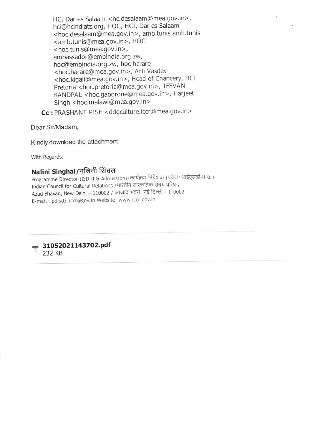HC, Dar es Salaam < hc.desalaam @mea.gov, in >, hci@hcindiatz.org, HOC, HCI, Dar es Salaam <hoc.desalaam@mea.gov.in>, amb.tunis amb.tunis <amb.tunis@mea.gov.in>, HOC <sup>&</sup>lt;hoc.tunis@ mea.gov. in >, ambassador@em bindia.org.zw, hoc@embindia.org.zw, hoc harare <sup>&</sup>lt;hoc. harare@ mea.gov. in >, Arti Vasdev <hoc.kigali@mea.gov.in>, Head of Chancery, HCI Pretoria < hoc.pretoria@mea.gov.in>, JEEVAN KANDPAL <hoc.gaborone@mea.gov.in>, Harjeet Singh <hoc.malawi@mea.gov.in>

Cc : PRASHANT PISE <ddgculture.iccr@mea.gov.in>

Dear Sir/Madam,

Kindly download the attachment.

With Regards,

### Nalini Singhal/नलिनी सिंघल

Programme Director (ISD-II & Admission)/कार्यक्रम निदेशक (प्रवेश/ आईएसडी-II & ) Indian Council for Cultural Relations /भारतीय सांस्कृतिक संबंध परिषद Azad Bhavan, New Delhi - 110002 / आज़ाद भवन, नई दिल्ली - 110002 E-mail: pdisd2.iccr@gov.in Website: www.iccr.gov.in